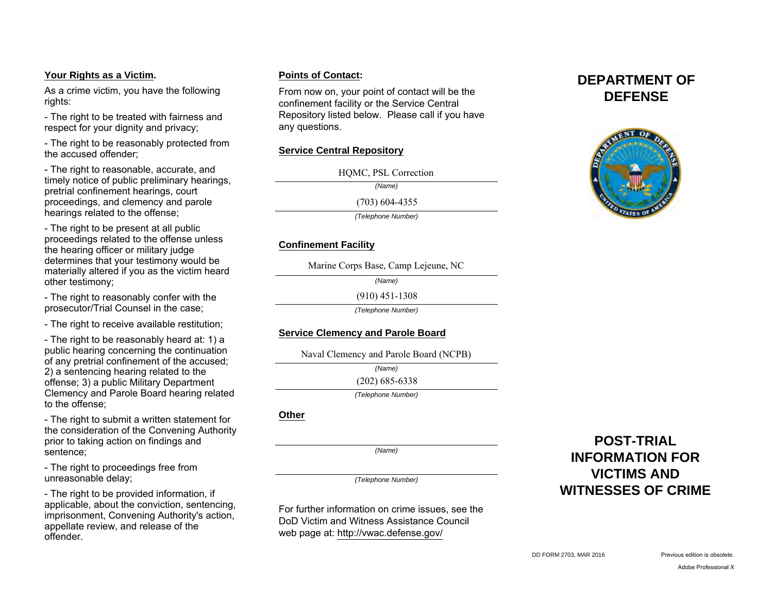## **Your Rights as a Victim.**

As a crime victim, you have the following rights:

- The right to be treated with fairness and respect for your dignity and privacy;

- The right to be reasonably protected from the accused offender;

- The right to reasonable, accurate, and timely notice of public preliminary hearings, pretrial confinement hearings, court proceedings, and clemency and parole hearings related to the offense;

- The right to be present at all public proceedings related to the offense unless the hearing officer or military judge determines that your testimony would be materially altered if you as the victim heard other testimony;

- The right to reasonably confer with the prosecutor/Trial Counsel in the case;

- The right to receive available restitution;

- The right to be reasonably heard at: 1) a public hearing concerning the continuation of any pretrial confinement of the accused; 2) a sentencing hearing related to the offense; 3) a public Military Department Clemency and Parole Board hearing related to the offense;

- The right to submit a written statement for the consideration of the Convening Authority prior to taking action on findings and sentence;

- The right to proceedings free from unreasonable delay;

- The right to be provided information, if applicable, about the conviction, sentencing, imprisonment, Convening Authority's action, appellate review, and release of the offender.

## **Points of Contact:**

From now on, your point of contact will be the confinement facility or the Service Central Repository listed below. Please call if you have any questions.

## **Service Central Repository**

HQMC, PSL Correction<br>(Name)<br>(703) 604-4355

*(Name)*

*(Telephone Number)*

# **Confinement Facility**

Marine Corps Base, Camp Lejeune, NC

*(Name)*

(910) 451-1308

*(Telephone Number)*

# **Service Clemency and Parole Board**

Naval Clemency and Parole Board (NCPB)

*(Name)*

(202) 685-6338

*(Telephone Number)*

## **Other**

*(Name)*

*(Telephone Number)*

For further information on crime issues, see the DoD Victim and Witness Assistance Council web page at: http://vwac.defense.gov/

**DEPARTMENT OF DEFENSE**